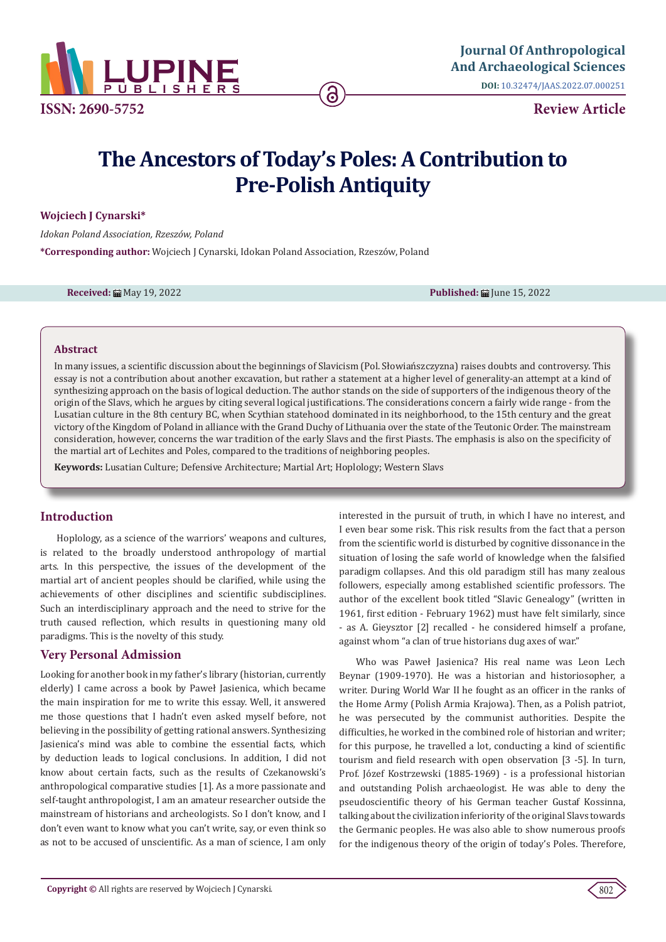

**Review Article**

# **The Ancestors of Today's Poles: A Contribution to Pre-Polish Antiquity**

**Wojciech J Cynarski\***

*Idokan Poland Association, Rzeszów, Poland*

**\*Corresponding author:** Wojciech J Cynarski, Idokan Poland Association, Rzeszów, Poland

**Received:** may 19, 2022 **Published:** may 19, 2022 **Published:** may 15, 2022

#### **Abstract**

In many issues, a scientific discussion about the beginnings of Slavicism (Pol. Słowiańszczyzna) raises doubts and controversy. This essay is not a contribution about another excavation, but rather a statement at a higher level of generality-an attempt at a kind of synthesizing approach on the basis of logical deduction. The author stands on the side of supporters of the indigenous theory of the origin of the Slavs, which he argues by citing several logical justifications. The considerations concern a fairly wide range - from the Lusatian culture in the 8th century BC, when Scythian statehood dominated in its neighborhood, to the 15th century and the great victory of the Kingdom of Poland in alliance with the Grand Duchy of Lithuania over the state of the Teutonic Order. The mainstream consideration, however, concerns the war tradition of the early Slavs and the first Piasts. The emphasis is also on the specificity of the martial art of Lechites and Poles, compared to the traditions of neighboring peoples.

**Keywords:** Lusatian Culture; Defensive Architecture; Martial Art; Hoplology; Western Slavs

## **Introduction**

Hoplology, as a science of the warriors' weapons and cultures, is related to the broadly understood anthropology of martial arts. In this perspective, the issues of the development of the martial art of ancient peoples should be clarified, while using the achievements of other disciplines and scientific subdisciplines. Such an interdisciplinary approach and the need to strive for the truth caused reflection, which results in questioning many old paradigms. This is the novelty of this study.

## **Very Personal Admission**

Looking for another book in my father's library (historian, currently elderly) I came across a book by Paweł Jasienica, which became the main inspiration for me to write this essay. Well, it answered me those questions that I hadn't even asked myself before, not believing in the possibility of getting rational answers. Synthesizing Jasienica's mind was able to combine the essential facts, which by deduction leads to logical conclusions. In addition, I did not know about certain facts, such as the results of Czekanowski's anthropological comparative studies [1]. As a more passionate and self-taught anthropologist, I am an amateur researcher outside the mainstream of historians and archeologists. So I don't know, and I don't even want to know what you can't write, say, or even think so as not to be accused of unscientific. As a man of science, I am only interested in the pursuit of truth, in which I have no interest, and I even bear some risk. This risk results from the fact that a person from the scientific world is disturbed by cognitive dissonance in the situation of losing the safe world of knowledge when the falsified paradigm collapses. And this old paradigm still has many zealous followers, especially among established scientific professors. The author of the excellent book titled "Slavic Genealogy" (written in 1961, first edition - February 1962) must have felt similarly, since - as A. Gieysztor [2] recalled - he considered himself a profane, against whom "a clan of true historians dug axes of war."

Who was Paweł Jasienica? His real name was Leon Lech Beynar (1909-1970). He was a historian and historiosopher, a writer. During World War II he fought as an officer in the ranks of the Home Army (Polish Armia Krajowa). Then, as a Polish patriot, he was persecuted by the communist authorities. Despite the difficulties, he worked in the combined role of historian and writer; for this purpose, he travelled a lot, conducting a kind of scientific tourism and field research with open observation [3 -5]. In turn, Prof. Józef Kostrzewski (1885-1969) - is a professional historian and outstanding Polish archaeologist. He was able to deny the pseudoscientific theory of his German teacher Gustaf Kossinna, talking about the civilization inferiority of the original Slavs towards the Germanic peoples. He was also able to show numerous proofs for the indigenous theory of the origin of today's Poles. Therefore,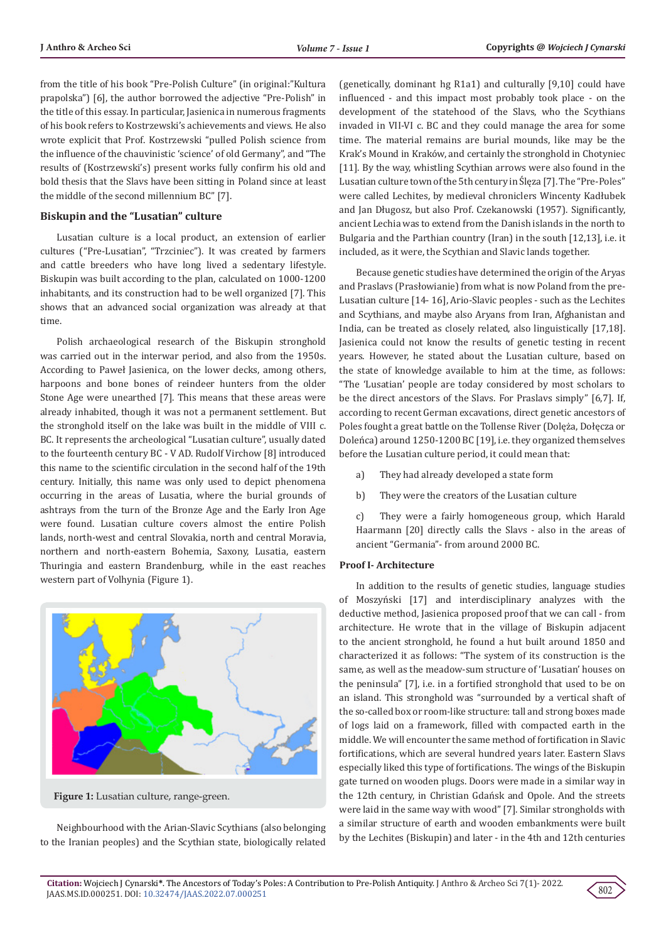from the title of his book "Pre-Polish Culture" (in original:"Kultura prapolska") [6], the author borrowed the adjective "Pre-Polish" in the title of this essay. In particular, Jasienica in numerous fragments of his book refers to Kostrzewski's achievements and views. He also wrote explicit that Prof. Kostrzewski "pulled Polish science from the influence of the chauvinistic 'science' of old Germany", and "The results of (Kostrzewski's) present works fully confirm his old and bold thesis that the Slavs have been sitting in Poland since at least the middle of the second millennium BC" [7].

## **Biskupin and the "Lusatian" culture**

Lusatian culture is a local product, an extension of earlier cultures ("Pre-Lusatian", "Trzciniec"). It was created by farmers and cattle breeders who have long lived a sedentary lifestyle. Biskupin was built according to the plan, calculated on 1000-1200 inhabitants, and its construction had to be well organized [7]. This shows that an advanced social organization was already at that time.

Polish archaeological research of the Biskupin stronghold was carried out in the interwar period, and also from the 1950s. According to Paweł Jasienica, on the lower decks, among others, harpoons and bone bones of reindeer hunters from the older Stone Age were unearthed [7]. This means that these areas were already inhabited, though it was not a permanent settlement. But the stronghold itself on the lake was built in the middle of VIII c. BC. It represents the archeological "Lusatian culture", usually dated to the fourteenth century BC - V AD. Rudolf Virchow [8] introduced this name to the scientific circulation in the second half of the 19th century. Initially, this name was only used to depict phenomena occurring in the areas of Lusatia, where the burial grounds of ashtrays from the turn of the Bronze Age and the Early Iron Age were found. Lusatian culture covers almost the entire Polish lands, north-west and central Slovakia, north and central Moravia, northern and north-eastern Bohemia, Saxony, Lusatia, eastern Thuringia and eastern Brandenburg, while in the east reaches western part of Volhynia (Figure 1).



**Figure 1:** Lusatian culture, range-green.

Neighbourhood with the Arian-Slavic Scythians (also belonging to the Iranian peoples) and the Scythian state, biologically related

(genetically, dominant hg R1a1) and culturally [9,10] could have influenced - and this impact most probably took place - on the development of the statehood of the Slavs, who the Scythians invaded in VII-VI c. BC and they could manage the area for some time. The material remains are burial mounds, like may be the Krak's Mound in Kraków, and certainly the stronghold in Chotyniec [11]. By the way, whistling Scythian arrows were also found in the Lusatian culture town of the 5th century in Ślęza [7]. The "Pre-Poles" were called Lechites, by medieval chroniclers Wincenty Kadłubek and Jan Długosz, but also Prof. Czekanowski (1957). Significantly, ancient Lechia was to extend from the Danish islands in the north to Bulgaria and the Parthian country (Iran) in the south [12,13], i.e. it included, as it were, the Scythian and Slavic lands together.

Because genetic studies have determined the origin of the Aryas and Praslavs (Prasłowianie) from what is now Poland from the pre-Lusatian culture [14- 16], Ario-Slavic peoples - such as the Lechites and Scythians, and maybe also Aryans from Iran, Afghanistan and India, can be treated as closely related, also linguistically [17,18]. Jasienica could not know the results of genetic testing in recent years. However, he stated about the Lusatian culture, based on the state of knowledge available to him at the time, as follows: "The 'Lusatian' people are today considered by most scholars to be the direct ancestors of the Slavs. For Praslavs simply" [6,7]. If, according to recent German excavations, direct genetic ancestors of Poles fought a great battle on the Tollense River (Dolęża, Dołęcza or Doleńca) around 1250-1200 BC [19], i.e. they organized themselves before the Lusatian culture period, it could mean that:

- a) They had already developed a state form
- b) They were the creators of the Lusatian culture

c) They were a fairly homogeneous group, which Harald Haarmann [20] directly calls the Slavs - also in the areas of ancient "Germania"- from around 2000 BC.

## **Proof I- Architecture**

In addition to the results of genetic studies, language studies of Moszyński [17] and interdisciplinary analyzes with the deductive method, Jasienica proposed proof that we can call - from architecture. He wrote that in the village of Biskupin adjacent to the ancient stronghold, he found a hut built around 1850 and characterized it as follows: "The system of its construction is the same, as well as the meadow-sum structure of 'Lusatian' houses on the peninsula" [7], i.e. in a fortified stronghold that used to be on an island. This stronghold was "surrounded by a vertical shaft of the so-called box or room-like structure: tall and strong boxes made of logs laid on a framework, filled with compacted earth in the middle. We will encounter the same method of fortification in Slavic fortifications, which are several hundred years later. Eastern Slavs especially liked this type of fortifications. The wings of the Biskupin gate turned on wooden plugs. Doors were made in a similar way in the 12th century, in Christian Gdańsk and Opole. And the streets were laid in the same way with wood" [7]. Similar strongholds with a similar structure of earth and wooden embankments were built by the Lechites (Biskupin) and later - in the 4th and 12th centuries

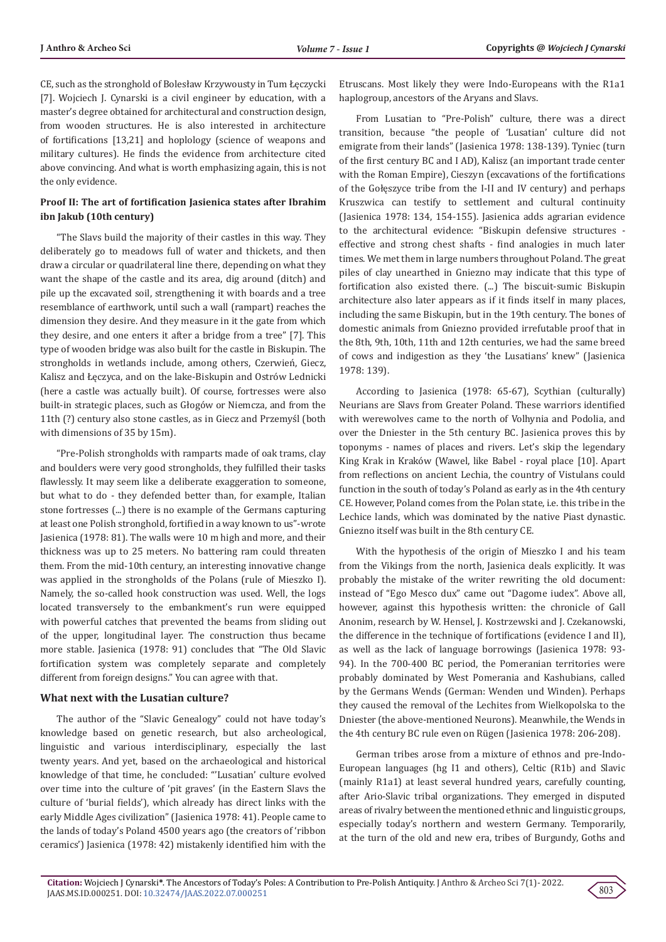CE, such as the stronghold of Bolesław Krzywousty in Tum Łęczycki [7]. Wojciech J. Cynarski is a civil engineer by education, with a master's degree obtained for architectural and construction design, from wooden structures. He is also interested in architecture of fortifications [13,21] and hoplology (science of weapons and military cultures). He finds the evidence from architecture cited above convincing. And what is worth emphasizing again, this is not the only evidence.

## **Proof II: The art of fortification Jasienica states after Ibrahim ibn Jakub (10th century)**

"The Slavs build the majority of their castles in this way. They deliberately go to meadows full of water and thickets, and then draw a circular or quadrilateral line there, depending on what they want the shape of the castle and its area, dig around (ditch) and pile up the excavated soil, strengthening it with boards and a tree resemblance of earthwork, until such a wall (rampart) reaches the dimension they desire. And they measure in it the gate from which they desire, and one enters it after a bridge from a tree" [7]. This type of wooden bridge was also built for the castle in Biskupin. The strongholds in wetlands include, among others, Czerwień, Giecz, Kalisz and Łeczyca, and on the lake-Biskupin and Ostrów Lednicki (here a castle was actually built). Of course, fortresses were also built-in strategic places, such as Głogów or Niemcza, and from the 11th (?) century also stone castles, as in Giecz and Przemyśl (both with dimensions of 35 by 15m).

"Pre-Polish strongholds with ramparts made of oak trams, clay and boulders were very good strongholds, they fulfilled their tasks flawlessly. It may seem like a deliberate exaggeration to someone, but what to do - they defended better than, for example, Italian stone fortresses (...) there is no example of the Germans capturing at least one Polish stronghold, fortified in a way known to us"-wrote Jasienica (1978: 81). The walls were 10 m high and more, and their thickness was up to 25 meters. No battering ram could threaten them. From the mid-10th century, an interesting innovative change was applied in the strongholds of the Polans (rule of Mieszko I). Namely, the so-called hook construction was used. Well, the logs located transversely to the embankment's run were equipped with powerful catches that prevented the beams from sliding out of the upper, longitudinal layer. The construction thus became more stable. Jasienica (1978: 91) concludes that "The Old Slavic fortification system was completely separate and completely different from foreign designs." You can agree with that.

### **What next with the Lusatian culture?**

The author of the "Slavic Genealogy" could not have today's knowledge based on genetic research, but also archeological, linguistic and various interdisciplinary, especially the last twenty years. And yet, based on the archaeological and historical knowledge of that time, he concluded: "'Lusatian' culture evolved over time into the culture of 'pit graves' (in the Eastern Slavs the culture of 'burial fields'), which already has direct links with the early Middle Ages civilization" (Jasienica 1978: 41). People came to the lands of today's Poland 4500 years ago (the creators of 'ribbon ceramics') Jasienica (1978: 42) mistakenly identified him with the

Etruscans. Most likely they were Indo-Europeans with the R1a1 haplogroup, ancestors of the Aryans and Slavs.

From Lusatian to "Pre-Polish" culture, there was a direct transition, because "the people of 'Lusatian' culture did not emigrate from their lands" (Jasienica 1978: 138-139). Tyniec (turn of the first century BC and I AD), Kalisz (an important trade center with the Roman Empire), Cieszyn (excavations of the fortifications of the Gołęszyce tribe from the I-II and IV century) and perhaps Kruszwica can testify to settlement and cultural continuity (Jasienica 1978: 134, 154-155). Jasienica adds agrarian evidence to the architectural evidence: "Biskupin defensive structures effective and strong chest shafts - find analogies in much later times. We met them in large numbers throughout Poland. The great piles of clay unearthed in Gniezno may indicate that this type of fortification also existed there. (...) The biscuit-sumic Biskupin architecture also later appears as if it finds itself in many places, including the same Biskupin, but in the 19th century. The bones of domestic animals from Gniezno provided irrefutable proof that in the 8th, 9th, 10th, 11th and 12th centuries, we had the same breed of cows and indigestion as they 'the Lusatians' knew" (Jasienica 1978: 139).

According to Jasienica (1978: 65-67), Scythian (culturally) Neurians are Slavs from Greater Poland. These warriors identified with werewolves came to the north of Volhynia and Podolia, and over the Dniester in the 5th century BC. Jasienica proves this by toponyms - names of places and rivers. Let's skip the legendary King Krak in Kraków (Wawel, like Babel - royal place [10]. Apart from reflections on ancient Lechia, the country of Vistulans could function in the south of today's Poland as early as in the 4th century CE. However, Poland comes from the Polan state, i.e. this tribe in the Lechice lands, which was dominated by the native Piast dynastic. Gniezno itself was built in the 8th century CE.

With the hypothesis of the origin of Mieszko I and his team from the Vikings from the north, Jasienica deals explicitly. It was probably the mistake of the writer rewriting the old document: instead of "Ego Mesco dux" came out "Dagome iudex". Above all, however, against this hypothesis written: the chronicle of Gall Anonim, research by W. Hensel, J. Kostrzewski and J. Czekanowski, the difference in the technique of fortifications (evidence I and II), as well as the lack of language borrowings (Jasienica 1978: 93- 94). In the 700-400 BC period, the Pomeranian territories were probably dominated by West Pomerania and Kashubians, called by the Germans Wends (German: Wenden und Winden). Perhaps they caused the removal of the Lechites from Wielkopolska to the Dniester (the above-mentioned Neurons). Meanwhile, the Wends in the 4th century BC rule even on Rügen (Jasienica 1978: 206-208).

German tribes arose from a mixture of ethnos and pre-Indo-European languages (hg I1 and others), Celtic (R1b) and Slavic (mainly R1a1) at least several hundred years, carefully counting, after Ario-Slavic tribal organizations. They emerged in disputed areas of rivalry between the mentioned ethnic and linguistic groups, especially today's northern and western Germany. Temporarily, at the turn of the old and new era, tribes of Burgundy, Goths and

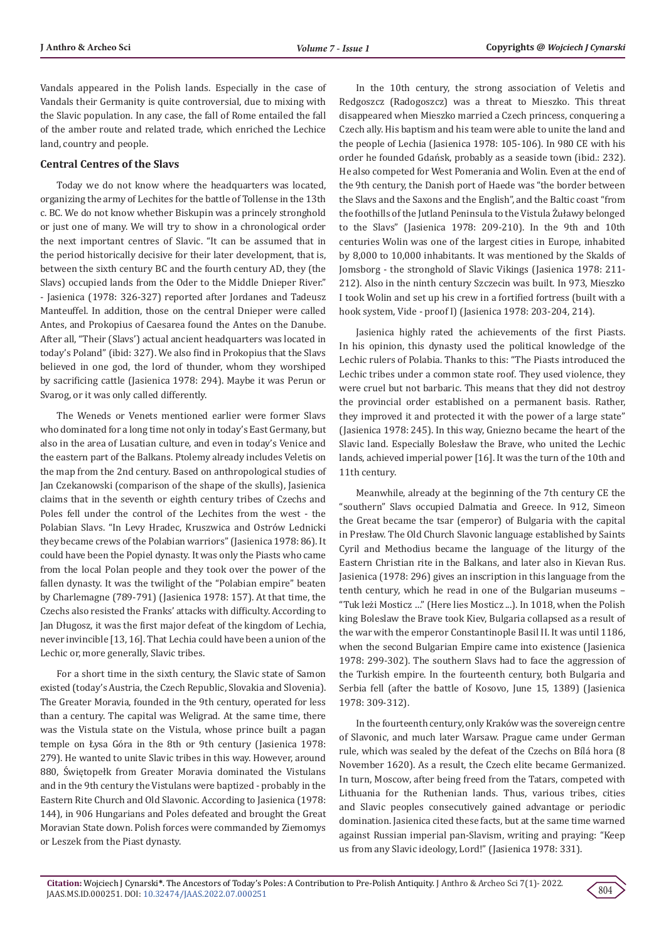Vandals appeared in the Polish lands. Especially in the case of Vandals their Germanity is quite controversial, due to mixing with the Slavic population. In any case, the fall of Rome entailed the fall of the amber route and related trade, which enriched the Lechice land, country and people.

## **Central Centres of the Slavs**

Today we do not know where the headquarters was located, organizing the army of Lechites for the battle of Tollense in the 13th c. BC. We do not know whether Biskupin was a princely stronghold or just one of many. We will try to show in a chronological order the next important centres of Slavic. "It can be assumed that in the period historically decisive for their later development, that is, between the sixth century BC and the fourth century AD, they (the Slavs) occupied lands from the Oder to the Middle Dnieper River." - Jasienica (1978: 326-327) reported after Jordanes and Tadeusz Manteuffel. In addition, those on the central Dnieper were called Antes, and Prokopius of Caesarea found the Antes on the Danube. After all, "Their (Slavs') actual ancient headquarters was located in today's Poland" (ibid: 327). We also find in Prokopius that the Slavs believed in one god, the lord of thunder, whom they worshiped by sacrificing cattle (Jasienica 1978: 294). Maybe it was Perun or Svarog, or it was only called differently.

The Weneds or Venets mentioned earlier were former Slavs who dominated for a long time not only in today's East Germany, but also in the area of Lusatian culture, and even in today's Venice and the eastern part of the Balkans. Ptolemy already includes Veletis on the map from the 2nd century. Based on anthropological studies of Jan Czekanowski (comparison of the shape of the skulls), Jasienica claims that in the seventh or eighth century tribes of Czechs and Poles fell under the control of the Lechites from the west - the Polabian Slavs. "In Levy Hradec, Kruszwica and Ostrów Lednicki they became crews of the Polabian warriors" (Jasienica 1978: 86). It could have been the Popiel dynasty. It was only the Piasts who came from the local Polan people and they took over the power of the fallen dynasty. It was the twilight of the "Polabian empire" beaten by Charlemagne (789-791) (Jasienica 1978: 157). At that time, the Czechs also resisted the Franks' attacks with difficulty. According to Jan Długosz, it was the first major defeat of the kingdom of Lechia, never invincible [13, 16]. That Lechia could have been a union of the Lechic or, more generally, Slavic tribes.

For a short time in the sixth century, the Slavic state of Samon existed (today's Austria, the Czech Republic, Slovakia and Slovenia). The Greater Moravia, founded in the 9th century, operated for less than a century. The capital was Weligrad. At the same time, there was the Vistula state on the Vistula, whose prince built a pagan temple on Łysa Góra in the 8th or 9th century (Jasienica 1978: 279). He wanted to unite Slavic tribes in this way. However, around 880, Świętopełk from Greater Moravia dominated the Vistulans and in the 9th century the Vistulans were baptized - probably in the Eastern Rite Church and Old Slavonic. According to Jasienica (1978: 144), in 906 Hungarians and Poles defeated and brought the Great Moravian State down. Polish forces were commanded by Ziemomys or Leszek from the Piast dynasty.

In the 10th century, the strong association of Veletis and Redgoszcz (Radogoszcz) was a threat to Mieszko. This threat disappeared when Mieszko married a Czech princess, conquering a Czech ally. His baptism and his team were able to unite the land and the people of Lechia (Jasienica 1978: 105-106). In 980 CE with his order he founded Gdańsk, probably as a seaside town (ibid.: 232). He also competed for West Pomerania and Wolin. Even at the end of the 9th century, the Danish port of Haede was "the border between the Slavs and the Saxons and the English", and the Baltic coast "from the foothills of the Jutland Peninsula to the Vistula Żuławy belonged to the Slavs" (Jasienica 1978: 209-210). In the 9th and 10th centuries Wolin was one of the largest cities in Europe, inhabited by 8,000 to 10,000 inhabitants. It was mentioned by the Skalds of Jomsborg - the stronghold of Slavic Vikings (Jasienica 1978: 211- 212). Also in the ninth century Szczecin was built. In 973, Mieszko I took Wolin and set up his crew in a fortified fortress (built with a hook system, Vide - proof I) (Jasienica 1978: 203-204, 214).

Jasienica highly rated the achievements of the first Piasts. In his opinion, this dynasty used the political knowledge of the Lechic rulers of Polabia. Thanks to this: "The Piasts introduced the Lechic tribes under a common state roof. They used violence, they were cruel but not barbaric. This means that they did not destroy the provincial order established on a permanent basis. Rather, they improved it and protected it with the power of a large state" (Jasienica 1978: 245). In this way, Gniezno became the heart of the Slavic land. Especially Bolesław the Brave, who united the Lechic lands, achieved imperial power [16]. It was the turn of the 10th and 11th century.

Meanwhile, already at the beginning of the 7th century CE the "southern" Slavs occupied Dalmatia and Greece. In 912, Simeon the Great became the tsar (emperor) of Bulgaria with the capital in Presław. The Old Church Slavonic language established by Saints Cyril and Methodius became the language of the liturgy of the Eastern Christian rite in the Balkans, and later also in Kievan Rus. Jasienica (1978: 296) gives an inscription in this language from the tenth century, which he read in one of the Bulgarian museums – "Tuk leżi Mosticz …" (Here lies Mosticz ...). In 1018, when the Polish king Boleslaw the Brave took Kiev, Bulgaria collapsed as a result of the war with the emperor Constantinople Basil II. It was until 1186, when the second Bulgarian Empire came into existence (Jasienica 1978: 299-302). The southern Slavs had to face the aggression of the Turkish empire. In the fourteenth century, both Bulgaria and Serbia fell (after the battle of Kosovo, June 15, 1389) (Jasienica 1978: 309-312).

In the fourteenth century, only Kraków was the sovereign centre of Slavonic, and much later Warsaw. Prague came under German rule, which was sealed by the defeat of the Czechs on Bílá hora (8 November 1620). As a result, the Czech elite became Germanized. In turn, Moscow, after being freed from the Tatars, competed with Lithuania for the Ruthenian lands. Thus, various tribes, cities and Slavic peoples consecutively gained advantage or periodic domination. Jasienica cited these facts, but at the same time warned against Russian imperial pan-Slavism, writing and praying: "Keep us from any Slavic ideology, Lord!" (Jasienica 1978: 331).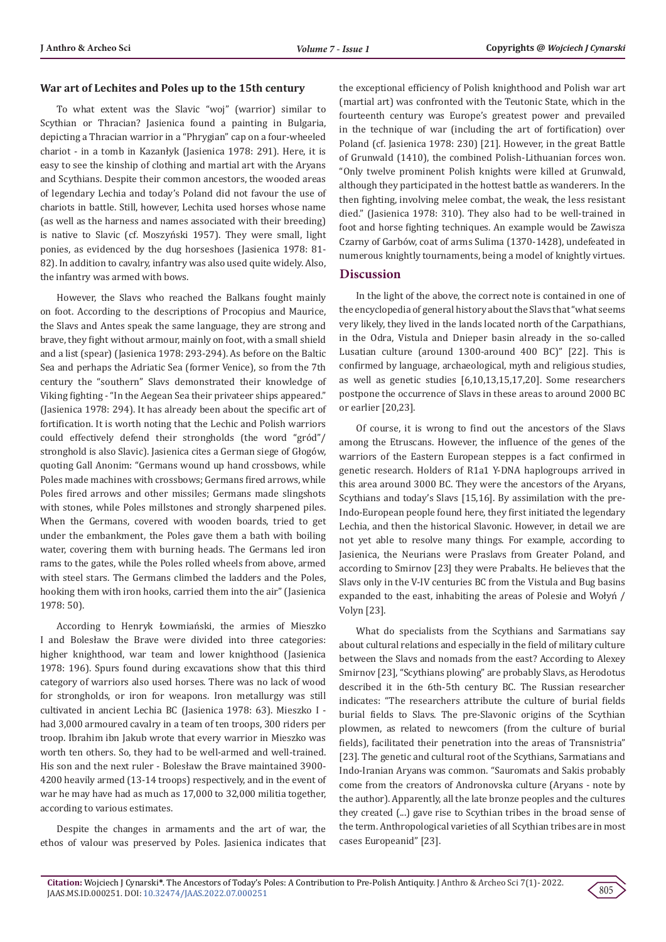#### **War art of Lechites and Poles up to the 15th century**

To what extent was the Slavic "woj" (warrior) similar to Scythian or Thracian? Jasienica found a painting in Bulgaria, depicting a Thracian warrior in a "Phrygian" cap on a four-wheeled chariot - in a tomb in Kazanłyk (Jasienica 1978: 291). Here, it is easy to see the kinship of clothing and martial art with the Aryans and Scythians. Despite their common ancestors, the wooded areas of legendary Lechia and today's Poland did not favour the use of chariots in battle. Still, however, Lechita used horses whose name (as well as the harness and names associated with their breeding) is native to Slavic (cf. Moszyński 1957). They were small, light ponies, as evidenced by the dug horseshoes (Jasienica 1978: 81- 82). In addition to cavalry, infantry was also used quite widely. Also, the infantry was armed with bows.

However, the Slavs who reached the Balkans fought mainly on foot. According to the descriptions of Procopius and Maurice, the Slavs and Antes speak the same language, they are strong and brave, they fight without armour, mainly on foot, with a small shield and a list (spear) (Jasienica 1978: 293-294). As before on the Baltic Sea and perhaps the Adriatic Sea (former Venice), so from the 7th century the "southern" Slavs demonstrated their knowledge of Viking fighting - "In the Aegean Sea their privateer ships appeared." (Jasienica 1978: 294). It has already been about the specific art of fortification. It is worth noting that the Lechic and Polish warriors could effectively defend their strongholds (the word "gród"/ stronghold is also Slavic). Jasienica cites a German siege of Głogów, quoting Gall Anonim: "Germans wound up hand crossbows, while Poles made machines with crossbows; Germans fired arrows, while Poles fired arrows and other missiles; Germans made slingshots with stones, while Poles millstones and strongly sharpened piles. When the Germans, covered with wooden boards, tried to get under the embankment, the Poles gave them a bath with boiling water, covering them with burning heads. The Germans led iron rams to the gates, while the Poles rolled wheels from above, armed with steel stars. The Germans climbed the ladders and the Poles, hooking them with iron hooks, carried them into the air" (Jasienica 1978: 50).

According to Henryk Łowmiański, the armies of Mieszko I and Bolesław the Brave were divided into three categories: higher knighthood, war team and lower knighthood (Jasienica 1978: 196). Spurs found during excavations show that this third category of warriors also used horses. There was no lack of wood for strongholds, or iron for weapons. Iron metallurgy was still cultivated in ancient Lechia BC (Jasienica 1978: 63). Mieszko I had 3,000 armoured cavalry in a team of ten troops, 300 riders per troop. Ibrahim ibn Jakub wrote that every warrior in Mieszko was worth ten others. So, they had to be well-armed and well-trained. His son and the next ruler - Bolesław the Brave maintained 3900- 4200 heavily armed (13-14 troops) respectively, and in the event of war he may have had as much as 17,000 to 32,000 militia together, according to various estimates.

Despite the changes in armaments and the art of war, the ethos of valour was preserved by Poles. Jasienica indicates that the exceptional efficiency of Polish knighthood and Polish war art (martial art) was confronted with the Teutonic State, which in the fourteenth century was Europe's greatest power and prevailed in the technique of war (including the art of fortification) over Poland (cf. Jasienica 1978: 230) [21]. However, in the great Battle of Grunwald (1410), the combined Polish-Lithuanian forces won. "Only twelve prominent Polish knights were killed at Grunwald, although they participated in the hottest battle as wanderers. In the then fighting, involving melee combat, the weak, the less resistant died." (Jasienica 1978: 310). They also had to be well-trained in foot and horse fighting techniques. An example would be Zawisza Czarny of Garbów, coat of arms Sulima (1370-1428), undefeated in numerous knightly tournaments, being a model of knightly virtues.

## **Discussion**

In the light of the above, the correct note is contained in one of the encyclopedia of general history about the Slavs that "what seems very likely, they lived in the lands located north of the Carpathians, in the Odra, Vistula and Dnieper basin already in the so-called Lusatian culture (around 1300-around 400 BC)" [22]. This is confirmed by language, archaeological, myth and religious studies, as well as genetic studies [6,10,13,15,17,20]. Some researchers postpone the occurrence of Slavs in these areas to around 2000 BC or earlier [20,23].

Of course, it is wrong to find out the ancestors of the Slavs among the Etruscans. However, the influence of the genes of the warriors of the Eastern European steppes is a fact confirmed in genetic research. Holders of R1a1 Y-DNA haplogroups arrived in this area around 3000 BC. They were the ancestors of the Aryans, Scythians and today's Slavs [15,16]. By assimilation with the pre-Indo-European people found here, they first initiated the legendary Lechia, and then the historical Slavonic. However, in detail we are not yet able to resolve many things. For example, according to Jasienica, the Neurians were Praslavs from Greater Poland, and according to Smirnov [23] they were Prabalts. He believes that the Slavs only in the V-IV centuries BC from the Vistula and Bug basins expanded to the east, inhabiting the areas of Polesie and Wołyń / Volyn [23].

What do specialists from the Scythians and Sarmatians say about cultural relations and especially in the field of military culture between the Slavs and nomads from the east? According to Alexey Smirnov [23], "Scythians plowing" are probably Slavs, as Herodotus described it in the 6th-5th century BC. The Russian researcher indicates: "The researchers attribute the culture of burial fields burial fields to Slavs. The pre-Slavonic origins of the Scythian plowmen, as related to newcomers (from the culture of burial fields), facilitated their penetration into the areas of Transnistria" [23]. The genetic and cultural root of the Scythians, Sarmatians and Indo-Iranian Aryans was common. "Sauromats and Sakis probably come from the creators of Andronovska culture (Aryans - note by the author). Apparently, all the late bronze peoples and the cultures they created (...) gave rise to Scythian tribes in the broad sense of the term. Anthropological varieties of all Scythian tribes are in most cases Europeanid" [23].

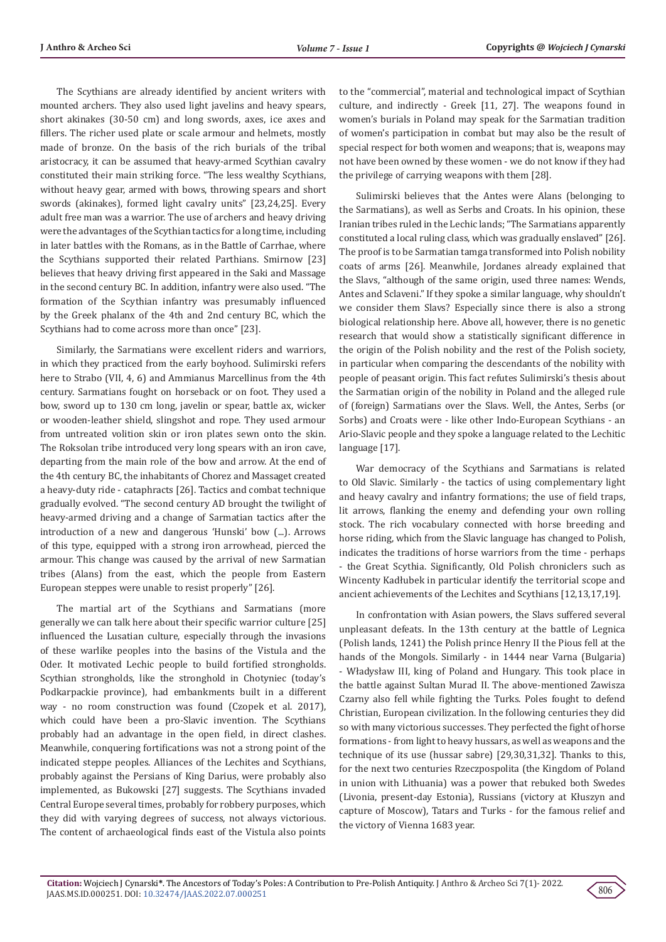The Scythians are already identified by ancient writers with mounted archers. They also used light javelins and heavy spears, short akinakes (30-50 cm) and long swords, axes, ice axes and fillers. The richer used plate or scale armour and helmets, mostly made of bronze. On the basis of the rich burials of the tribal aristocracy, it can be assumed that heavy-armed Scythian cavalry constituted their main striking force. "The less wealthy Scythians, without heavy gear, armed with bows, throwing spears and short swords (akinakes), formed light cavalry units" [23,24,25]. Every adult free man was a warrior. The use of archers and heavy driving were the advantages of the Scythian tactics for a long time, including in later battles with the Romans, as in the Battle of Carrhae, where the Scythians supported their related Parthians. Smirnow [23] believes that heavy driving first appeared in the Saki and Massage in the second century BC. In addition, infantry were also used. "The formation of the Scythian infantry was presumably influenced by the Greek phalanx of the 4th and 2nd century BC, which the Scythians had to come across more than once" [23].

Similarly, the Sarmatians were excellent riders and warriors, in which they practiced from the early boyhood. Sulimirski refers here to Strabo (VII, 4, 6) and Ammianus Marcellinus from the 4th century. Sarmatians fought on horseback or on foot. They used a bow, sword up to 130 cm long, javelin or spear, battle ax, wicker or wooden-leather shield, slingshot and rope. They used armour from untreated volition skin or iron plates sewn onto the skin. The Roksolan tribe introduced very long spears with an iron cave, departing from the main role of the bow and arrow. At the end of the 4th century BC, the inhabitants of Chorez and Massaget created a heavy-duty ride - cataphracts [26]. Tactics and combat technique gradually evolved. "The second century AD brought the twilight of heavy-armed driving and a change of Sarmatian tactics after the introduction of a new and dangerous 'Hunski' bow (...). Arrows of this type, equipped with a strong iron arrowhead, pierced the armour. This change was caused by the arrival of new Sarmatian tribes (Alans) from the east, which the people from Eastern European steppes were unable to resist properly" [26].

The martial art of the Scythians and Sarmatians (more generally we can talk here about their specific warrior culture [25] influenced the Lusatian culture, especially through the invasions of these warlike peoples into the basins of the Vistula and the Oder. It motivated Lechic people to build fortified strongholds. Scythian strongholds, like the stronghold in Chotyniec (today's Podkarpackie province), had embankments built in a different way - no room construction was found (Czopek et al. 2017), which could have been a pro-Slavic invention. The Scythians probably had an advantage in the open field, in direct clashes. Meanwhile, conquering fortifications was not a strong point of the indicated steppe peoples. Alliances of the Lechites and Scythians, probably against the Persians of King Darius, were probably also implemented, as Bukowski [27] suggests. The Scythians invaded Central Europe several times, probably for robbery purposes, which they did with varying degrees of success, not always victorious. The content of archaeological finds east of the Vistula also points

to the "commercial", material and technological impact of Scythian culture, and indirectly - Greek [11, 27]. The weapons found in women's burials in Poland may speak for the Sarmatian tradition of women's participation in combat but may also be the result of special respect for both women and weapons; that is, weapons may not have been owned by these women - we do not know if they had the privilege of carrying weapons with them [28].

Sulimirski believes that the Antes were Alans (belonging to the Sarmatians), as well as Serbs and Croats. In his opinion, these Iranian tribes ruled in the Lechic lands; "The Sarmatians apparently constituted a local ruling class, which was gradually enslaved" [26]. The proof is to be Sarmatian tamga transformed into Polish nobility coats of arms [26]. Meanwhile, Jordanes already explained that the Slavs, "although of the same origin, used three names: Wends, Antes and Sclaveni." If they spoke a similar language, why shouldn't we consider them Slavs? Especially since there is also a strong biological relationship here. Above all, however, there is no genetic research that would show a statistically significant difference in the origin of the Polish nobility and the rest of the Polish society, in particular when comparing the descendants of the nobility with people of peasant origin. This fact refutes Sulimirski's thesis about the Sarmatian origin of the nobility in Poland and the alleged rule of (foreign) Sarmatians over the Slavs. Well, the Antes, Serbs (or Sorbs) and Croats were - like other Indo-European Scythians - an Ario-Slavic people and they spoke a language related to the Lechitic language [17].

War democracy of the Scythians and Sarmatians is related to Old Slavic. Similarly - the tactics of using complementary light and heavy cavalry and infantry formations; the use of field traps, lit arrows, flanking the enemy and defending your own rolling stock. The rich vocabulary connected with horse breeding and horse riding, which from the Slavic language has changed to Polish, indicates the traditions of horse warriors from the time - perhaps - the Great Scythia. Significantly, Old Polish chroniclers such as Wincenty Kadłubek in particular identify the territorial scope and ancient achievements of the Lechites and Scythians [12,13,17,19].

In confrontation with Asian powers, the Slavs suffered several unpleasant defeats. In the 13th century at the battle of Legnica (Polish lands, 1241) the Polish prince Henry II the Pious fell at the hands of the Mongols. Similarly - in 1444 near Varna (Bulgaria) - Władysław III, king of Poland and Hungary. This took place in the battle against Sultan Murad II. The above-mentioned Zawisza Czarny also fell while fighting the Turks. Poles fought to defend Christian, European civilization. In the following centuries they did so with many victorious successes. They perfected the fight of horse formations - from light to heavy hussars, as well as weapons and the technique of its use (hussar sabre) [29,30,31,32]. Thanks to this, for the next two centuries Rzeczpospolita (the Kingdom of Poland in union with Lithuania) was a power that rebuked both Swedes (Livonia, present-day Estonia), Russians (victory at Kłuszyn and capture of Moscow), Tatars and Turks - for the famous relief and the victory of Vienna 1683 year.

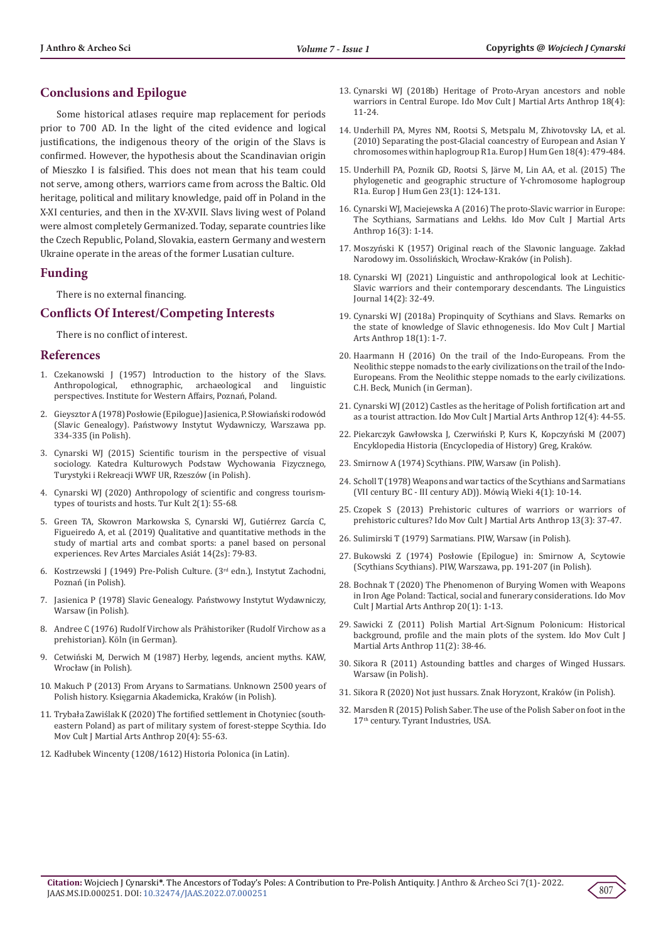# **Conclusions and Epilogue**

Some historical atlases require map replacement for periods prior to 700 AD. In the light of the cited evidence and logical justifications, the indigenous theory of the origin of the Slavs is confirmed. However, the hypothesis about the Scandinavian origin of Mieszko I is falsified. This does not mean that his team could not serve, among others, warriors came from across the Baltic. Old heritage, political and military knowledge, paid off in Poland in the X-XI centuries, and then in the XV-XVII. Slavs living west of Poland were almost completely Germanized. Today, separate countries like the Czech Republic, Poland, Slovakia, eastern Germany and western Ukraine operate in the areas of the former Lusatian culture.

## **Funding**

There is no external financing.

## **Conflicts Of Interest/Competing Interests**

There is no conflict of interest.

#### **References**

- 1. Czekanowski J (1957) Introduction to the history of the Slavs. Anthropological, ethnographic, perspectives. Institute for Western Affairs, Poznań, Poland.
- 2. Gieysztor A (1978) Posłowie (Epilogue) Jasienica, P. Słowiański rodowód (Slavic Genealogy). Państwowy Instytut Wydawniczy, Warszawa pp. 334-335 (in Polish).
- 3. Cynarski WJ (2015) Scientific tourism in the perspective of visual sociology. Katedra Kulturowych Podstaw Wychowania Fizycznego, Turystyki i Rekreacji WWF UR, Rzeszów (in Polish).
- 4. Cynarski WJ (2020) Anthropology of scientific and congress tourismtypes of tourists and hosts. Tur Kult 2(1): 55-68.
- 5. [Green TA, Skowron Markowska S, Cynarski WJ, Gutiérrez García C,](https://www.readcube.com/articles/10.18002%2Frama.v14i2s.6048)  [Figueiredo A, et al. \(2019\) Qualitative and quantitative methods in the](https://www.readcube.com/articles/10.18002%2Frama.v14i2s.6048)  [study of martial arts and combat sports: a panel based on personal](https://www.readcube.com/articles/10.18002%2Frama.v14i2s.6048)  [experiences. Rev Artes Marciales Asiát 14\(2s\): 79-83.](https://www.readcube.com/articles/10.18002%2Frama.v14i2s.6048)
- 6. Kostrzewski J (1949) Pre-Polish Culture. (3rd edn.), Instytut Zachodni, Poznań (in Polish).
- 7. Jasienica P (1978) Slavic Genealogy. Państwowy Instytut Wydawniczy, Warsaw (in Polish).
- 8. Andree C (1976) Rudolf Virchow als Prähistoriker (Rudolf Virchow as a prehistorian). Köln (in German).
- 9. Cetwiński M, Derwich M (1987) Herby, legends, ancient myths. KAW, Wrocław (in Polish).
- 10. Makuch P (2013) From Aryans to Sarmatians. Unknown 2500 years of Polish history. Księgarnia Akademicka, Kraków (in Polish).
- 11. [Trybała Zawiślak K \(2020\) The fortified settlement in Chotyniec \(south](https://www.academia.edu/44959393/The_fortified_settlement_in_Chotyniec_south_eastern_Poland_as_part_of_the_military_system_of_forest_steppe_Scythia)[eastern Poland\) as part of military system of forest-steppe Scythia. Ido](https://www.academia.edu/44959393/The_fortified_settlement_in_Chotyniec_south_eastern_Poland_as_part_of_the_military_system_of_forest_steppe_Scythia)  [Mov Cult J Martial Arts Anthrop 20\(4\): 55-63.](https://www.academia.edu/44959393/The_fortified_settlement_in_Chotyniec_south_eastern_Poland_as_part_of_the_military_system_of_forest_steppe_Scythia)
- 12. Kadłubek Wincenty (1208/1612) Historia Polonica (in Latin).
- 13. [Cynarski WJ \(2018b\) Heritage of Proto-Aryan ancestors and noble](https://www.researchgate.net/publication/328699128_Heritage_of_Proto-Aryan_ancestors_and_noble_warriors_in_Central_Europe) [warriors in Central Europe. Ido Mov Cult J Martial Arts Anthrop 18\(4\):](https://www.researchgate.net/publication/328699128_Heritage_of_Proto-Aryan_ancestors_and_noble_warriors_in_Central_Europe) [11-24.](https://www.researchgate.net/publication/328699128_Heritage_of_Proto-Aryan_ancestors_and_noble_warriors_in_Central_Europe)
- 14. [Underhill PA, Myres NM, Rootsi S, Metspalu M, Zhivotovsky LA, et al.](https://pubmed.ncbi.nlm.nih.gov/19888303/) [\(2010\) Separating the post-Glacial coancestry of European and Asian Y](https://pubmed.ncbi.nlm.nih.gov/19888303/) [chromosomes within haplogroup R1a. Europ J Hum Gen 18\(4\): 479-484.](https://pubmed.ncbi.nlm.nih.gov/19888303/)
- 15. [Underhill PA, Poznik GD, Rootsi S, Järve M, Lin AA, et al. \(2015\) The](https://pubmed.ncbi.nlm.nih.gov/24667786/) [phylogenetic and geographic structure of Y-chromosome haplogroup](https://pubmed.ncbi.nlm.nih.gov/24667786/) [R1a. Europ J Hum Gen 23\(1\): 124-131.](https://pubmed.ncbi.nlm.nih.gov/24667786/)
- 16. [Cynarski WJ, Maciejewska A \(2016\) The proto-Slavic warrior in Europe:](https://www.researchgate.net/publication/311221965_The_proto-Slavic_warrior_in_Europe_The_Scythians_Sarmatians_and_Lekhs) [The Scythians, Sarmatians and Lekhs. Ido Mov Cult J Martial Arts](https://www.researchgate.net/publication/311221965_The_proto-Slavic_warrior_in_Europe_The_Scythians_Sarmatians_and_Lekhs) [Anthrop 16\(3\): 1-14.](https://www.researchgate.net/publication/311221965_The_proto-Slavic_warrior_in_Europe_The_Scythians_Sarmatians_and_Lekhs)
- 17. Moszyński K (1957) Original reach of the Slavonic language. Zakład Narodowy im. Ossolińskich, Wrocław-Kraków (in Polish).
- 18. [Cynarski WJ \(2021\) Linguistic and anthropological look at Lechitic-](https://web.p.ebscohost.com/abstract?direct=true&profile=ehost&scope=site&authtype=crawler&jrnl=17182301&AN=149660024&h=ZU1Hkg3fAwmtSNeQu8zfUxJ%2ff7sU82XxrbWYkeailkV08elVj%2bqJBwJrA%2feMmitkGiPxxm2ff1GIYPwWuKQxjA%3d%3d&crl=c&resultNs=AdminWebAuth&resultLocal=ErrCrlNotAuth&crlhashurl=login.aspx%3fdirect%3dtrue%26profile%3dehost%26scope%3dsite%26authtype%3dcrawler%26jrnl%3d17182301%26AN%3d149660024)[Slavic warriors and their contemporary descendants. The Linguistics](https://web.p.ebscohost.com/abstract?direct=true&profile=ehost&scope=site&authtype=crawler&jrnl=17182301&AN=149660024&h=ZU1Hkg3fAwmtSNeQu8zfUxJ%2ff7sU82XxrbWYkeailkV08elVj%2bqJBwJrA%2feMmitkGiPxxm2ff1GIYPwWuKQxjA%3d%3d&crl=c&resultNs=AdminWebAuth&resultLocal=ErrCrlNotAuth&crlhashurl=login.aspx%3fdirect%3dtrue%26profile%3dehost%26scope%3dsite%26authtype%3dcrawler%26jrnl%3d17182301%26AN%3d149660024) [Journal 14\(2\): 32-49.](https://web.p.ebscohost.com/abstract?direct=true&profile=ehost&scope=site&authtype=crawler&jrnl=17182301&AN=149660024&h=ZU1Hkg3fAwmtSNeQu8zfUxJ%2ff7sU82XxrbWYkeailkV08elVj%2bqJBwJrA%2feMmitkGiPxxm2ff1GIYPwWuKQxjA%3d%3d&crl=c&resultNs=AdminWebAuth&resultLocal=ErrCrlNotAuth&crlhashurl=login.aspx%3fdirect%3dtrue%26profile%3dehost%26scope%3dsite%26authtype%3dcrawler%26jrnl%3d17182301%26AN%3d149660024)
- 19. [Cynarski WJ \(2018a\) Propinquity of Scythians and Slavs. Remarks on](https://www.researchgate.net/publication/322750974_Propinquity_of_Scythians_and_Slavs_Remarks_on_the_state_of_knowledge_of_Slavic_ethnogenesis) [the state of knowledge of Slavic ethnogenesis. Ido Mov Cult J Martial](https://www.researchgate.net/publication/322750974_Propinquity_of_Scythians_and_Slavs_Remarks_on_the_state_of_knowledge_of_Slavic_ethnogenesis) [Arts Anthrop 18\(1\): 1-7.](https://www.researchgate.net/publication/322750974_Propinquity_of_Scythians_and_Slavs_Remarks_on_the_state_of_knowledge_of_Slavic_ethnogenesis)
- 20. Haarmann H (2016) On the trail of the Indo-Europeans. From the Neolithic steppe nomads to the early civilizations on the trail of the Indo-Europeans. From the Neolithic steppe nomads to the early civilizations. C.H. Beck, Munich (in German).
- 21. [Cynarski WJ \(2012\) Castles as the heritage of Polish fortification art and](http://imcjournal.com/index.php/en/volume-xii-2012/contents-number-4/376-castles-as-the-heritage-of-polish-fortification-art-and-as-a-tourist-attraction) [as a tourist attraction. Ido Mov Cult J Martial Arts Anthrop 12\(4\): 44-55.](http://imcjournal.com/index.php/en/volume-xii-2012/contents-number-4/376-castles-as-the-heritage-of-polish-fortification-art-and-as-a-tourist-attraction)
- 22. Piekarczyk Gawłowska J, Czerwiński P, Kurs K, Kopczyński M (2007) Encyklopedia Historia (Encyclopedia of History) Greg, Kraków.
- 23. Smirnow A (1974) Scythians. PIW, Warsaw (in Polish).
- 24. Scholl T (1978) Weapons and war tactics of the Scythians and Sarmatians (VII century BC - III century AD)). Mówią Wieki 4(1): 10-14.
- 25. [Czopek S \(2013\) Prehistoric cultures of warriors or warriors of](http://imcjournal.com/index.php/en/volume-xiii-2013/contents-number-3/260-prehistoric-cultures-of-warriors-or-warriors-of-prehistoric-cultures) [prehistoric cultures? Ido Mov Cult J Martial Arts Anthrop 13\(3\): 37-47.](http://imcjournal.com/index.php/en/volume-xiii-2013/contents-number-3/260-prehistoric-cultures-of-warriors-or-warriors-of-prehistoric-cultures)
- 26. Sulimirski T (1979) Sarmatians. PIW, Warsaw (in Polish).
- 27. Bukowski Z (1974) Posłowie (Epilogue) in: Smirnow A, Scytowie (Scythians Scythians). PIW, Warszawa, pp. 191-207 (in Polish).
- 28. Bochnak T (2020) The Phenomenon of Burying Women with Weapons in Iron Age Poland: Tactical, social and funerary considerations. Ido Mov Cult J Martial Arts Anthrop 20(1): 1-13.
- 29. [Sawicki Z \(2011\) Polish Martial Art-Signum Polonicum: Historical](http://imcjournal.com/index.php/en/volume-xi-2011/contents-number-2/434-polish-martial-art-signum-polonicum-historical-background-profile-and-the-main-plots-of-the-system) [background, profile and the main plots of the system. Ido Mov Cult J](http://imcjournal.com/index.php/en/volume-xi-2011/contents-number-2/434-polish-martial-art-signum-polonicum-historical-background-profile-and-the-main-plots-of-the-system) [Martial Arts Anthrop 11\(2\): 38-46.](http://imcjournal.com/index.php/en/volume-xi-2011/contents-number-2/434-polish-martial-art-signum-polonicum-historical-background-profile-and-the-main-plots-of-the-system)
- 30. Sikora R (2011) Astounding battles and charges of Winged Hussars. Warsaw (in Polish).
- 31. Sikora R (2020) Not just hussars. Znak Horyzont, Kraków (in Polish).
- 32. Marsden R (2015) Polish Saber. The use of the Polish Saber on foot in the 17<sup>th</sup> century. Tyrant Industries, USA.